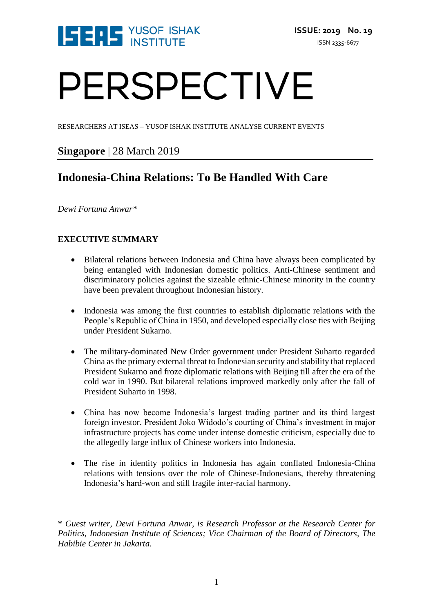

# PERSPECTIVE

RESEARCHERS AT ISEAS – YUSOF ISHAK INSTITUTE ANALYSE CURRENT EVENTS

### **Singapore** | 28 March 2019

## **Indonesia-China Relations: To Be Handled With Care**

*Dewi Fortuna Anwar\**

#### **EXECUTIVE SUMMARY**

- Bilateral relations between Indonesia and China have always been complicated by being entangled with Indonesian domestic politics. Anti-Chinese sentiment and discriminatory policies against the sizeable ethnic-Chinese minority in the country have been prevalent throughout Indonesian history.
- Indonesia was among the first countries to establish diplomatic relations with the People's Republic of China in 1950, and developed especially close ties with Beijing under President Sukarno.
- The military-dominated New Order government under President Suharto regarded China as the primary external threat to Indonesian security and stability that replaced President Sukarno and froze diplomatic relations with Beijing till after the era of the cold war in 1990. But bilateral relations improved markedly only after the fall of President Suharto in 1998.
- China has now become Indonesia's largest trading partner and its third largest foreign investor. President Joko Widodo's courting of China's investment in major infrastructure projects has come under intense domestic criticism, especially due to the allegedly large influx of Chinese workers into Indonesia.
- The rise in identity politics in Indonesia has again conflated Indonesia-China relations with tensions over the role of Chinese-Indonesians, thereby threatening Indonesia's hard-won and still fragile inter-racial harmony.

\* *Guest writer, Dewi Fortuna Anwar, is Research Professor at the Research Center for Politics, Indonesian Institute of Sciences; Vice Chairman of the Board of Directors, The Habibie Center in Jakarta.*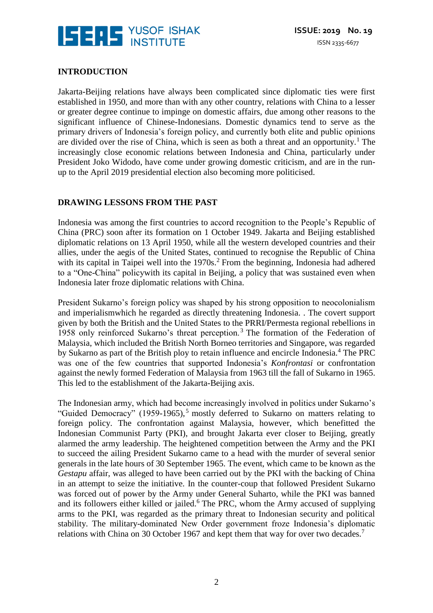

#### **INTRODUCTION**

Jakarta-Beijing relations have always been complicated since diplomatic ties were first established in 1950, and more than with any other country, relations with China to a lesser or greater degree continue to impinge on domestic affairs, due among other reasons to the significant influence of Chinese-Indonesians. Domestic dynamics tend to serve as the primary drivers of Indonesia's foreign policy, and currently both elite and public opinions are divided over the rise of China, which is seen as both a threat and an opportunity.<sup>1</sup> The increasingly close economic relations between Indonesia and China, particularly under President Joko Widodo, have come under growing domestic criticism, and are in the runup to the April 2019 presidential election also becoming more politicised.

#### **DRAWING LESSONS FROM THE PAST**

Indonesia was among the first countries to accord recognition to the People's Republic of China (PRC) soon after its formation on 1 October 1949. Jakarta and Beijing established diplomatic relations on 13 April 1950, while all the western developed countries and their allies, under the aegis of the United States, continued to recognise the Republic of China with its capital in Taipei well into the  $1970s<sup>2</sup>$  From the beginning, Indonesia had adhered to a "One-China" policywith its capital in Beijing, a policy that was sustained even when Indonesia later froze diplomatic relations with China.

President Sukarno's foreign policy was shaped by his strong opposition to neocolonialism and imperialismwhich he regarded as directly threatening Indonesia. . The covert support given by both the British and the United States to the PRRI/Permesta regional rebellions in 1958 only reinforced Sukarno's threat perception. <sup>3</sup> The formation of the Federation of Malaysia, which included the British North Borneo territories and Singapore, was regarded by Sukarno as part of the British ploy to retain influence and encircle Indonesia.<sup>4</sup> The PRC was one of the few countries that supported Indonesia's *Konfrontasi* or confrontation against the newly formed Federation of Malaysia from 1963 till the fall of Sukarno in 1965. This led to the establishment of the Jakarta-Beijing axis.

The Indonesian army, which had become increasingly involved in politics under Sukarno's "Guided Democracy" (1959-1965),<sup>5</sup> mostly deferred to Sukarno on matters relating to foreign policy. The confrontation against Malaysia, however, which benefitted the Indonesian Communist Party (PKI), and brought Jakarta ever closer to Beijing, greatly alarmed the army leadership. The heightened competition between the Army and the PKI to succeed the ailing President Sukarno came to a head with the murder of several senior generals in the late hours of 30 September 1965. The event, which came to be known as the *Gestapu* affair, was alleged to have been carried out by the PKI with the backing of China in an attempt to seize the initiative. In the counter-coup that followed President Sukarno was forced out of power by the Army under General Suharto, while the PKI was banned and its followers either killed or jailed.<sup>6</sup> The PRC, whom the Army accused of supplying arms to the PKI, was regarded as the primary threat to Indonesian security and political stability. The military-dominated New Order government froze Indonesia's diplomatic relations with China on 30 October 1967 and kept them that way for over two decades.<sup>7</sup>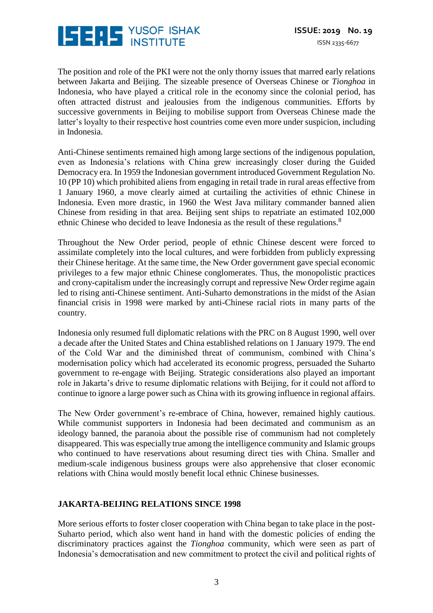

The position and role of the PKI were not the only thorny issues that marred early relations between Jakarta and Beijing. The sizeable presence of Overseas Chinese or *Tionghoa* in Indonesia, who have played a critical role in the economy since the colonial period, has often attracted distrust and jealousies from the indigenous communities. Efforts by successive governments in Beijing to mobilise support from Overseas Chinese made the latter's loyalty to their respective host countries come even more under suspicion, including in Indonesia.

Anti-Chinese sentiments remained high among large sections of the indigenous population, even as Indonesia's relations with China grew increasingly closer during the Guided Democracy era. In 1959 the Indonesian government introduced Government Regulation No. 10 (PP 10) which prohibited aliens from engaging in retail trade in rural areas effective from 1 January 1960, a move clearly aimed at curtailing the activities of ethnic Chinese in Indonesia. Even more drastic, in 1960 the West Java military commander banned alien Chinese from residing in that area. Beijing sent ships to repatriate an estimated 102,000 ethnic Chinese who decided to leave Indonesia as the result of these regulations.<sup>8</sup>

Throughout the New Order period, people of ethnic Chinese descent were forced to assimilate completely into the local cultures, and were forbidden from publicly expressing their Chinese heritage. At the same time, the New Order government gave special economic privileges to a few major ethnic Chinese conglomerates. Thus, the monopolistic practices and crony-capitalism under the increasingly corrupt and repressive New Order regime again led to rising anti-Chinese sentiment. Anti-Suharto demonstrations in the midst of the Asian financial crisis in 1998 were marked by anti-Chinese racial riots in many parts of the country.

Indonesia only resumed full diplomatic relations with the PRC on 8 August 1990, well over a decade after the United States and China established relations on 1 January 1979. The end of the Cold War and the diminished threat of communism, combined with China's modernisation policy which had accelerated its economic progress, persuaded the Suharto government to re-engage with Beijing. Strategic considerations also played an important role in Jakarta's drive to resume diplomatic relations with Beijing, for it could not afford to continue to ignore a large power such as China with its growing influence in regional affairs.

The New Order government's re-embrace of China, however, remained highly cautious. While communist supporters in Indonesia had been decimated and communism as an ideology banned, the paranoia about the possible rise of communism had not completely disappeared. This was especially true among the intelligence community and Islamic groups who continued to have reservations about resuming direct ties with China. Smaller and medium-scale indigenous business groups were also apprehensive that closer economic relations with China would mostly benefit local ethnic Chinese businesses.

#### **JAKARTA-BEIJING RELATIONS SINCE 1998**

More serious efforts to foster closer cooperation with China began to take place in the post-Suharto period, which also went hand in hand with the domestic policies of ending the discriminatory practices against the *Tionghoa* community, which were seen as part of Indonesia's democratisation and new commitment to protect the civil and political rights of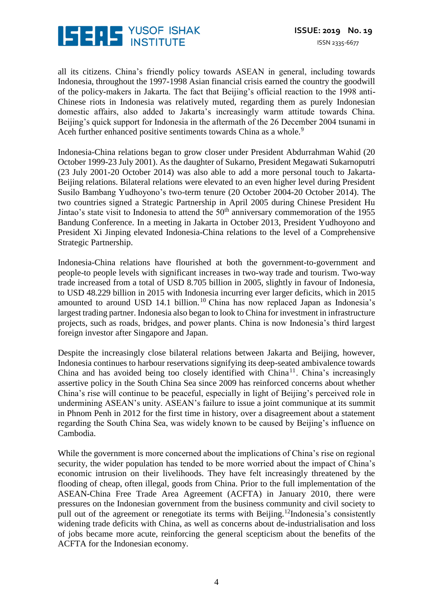

all its citizens. China's friendly policy towards ASEAN in general, including towards Indonesia, throughout the 1997-1998 Asian financial crisis earned the country the goodwill of the policy-makers in Jakarta. The fact that Beijing's official reaction to the 1998 anti-Chinese riots in Indonesia was relatively muted, regarding them as purely Indonesian domestic affairs, also added to Jakarta's increasingly warm attitude towards China. Beijing's quick support for Indonesia in the aftermath of the 26 December 2004 tsunami in Aceh further enhanced positive sentiments towards China as a whole.<sup>9</sup>

Indonesia-China relations began to grow closer under President Abdurrahman Wahid (20 October 1999-23 July 2001). As the daughter of Sukarno, President Megawati Sukarnoputri (23 July 2001-20 October 2014) was also able to add a more personal touch to Jakarta-Beijing relations. Bilateral relations were elevated to an even higher level during President Susilo Bambang Yudhoyono's two-term tenure (20 October 2004-20 October 2014). The two countries signed a Strategic Partnership in April 2005 during Chinese President Hu Jintao's state visit to Indonesia to attend the 50<sup>th</sup> anniversary commemoration of the 1955 Bandung Conference. In a meeting in Jakarta in October 2013, President Yudhoyono and President Xi Jinping elevated Indonesia-China relations to the level of a Comprehensive Strategic Partnership.

Indonesia-China relations have flourished at both the government-to-government and people-to people levels with significant increases in two-way trade and tourism. Two-way trade increased from a total of USD 8.705 billion in 2005, slightly in favour of Indonesia, to USD 48.229 billion in 2015 with Indonesia incurring ever larger deficits, which in 2015 amounted to around USD 14.1 billion.<sup>10</sup> China has now replaced Japan as Indonesia's largest trading partner. Indonesia also began to look to China for investment in infrastructure projects, such as roads, bridges, and power plants. China is now Indonesia's third largest foreign investor after Singapore and Japan.

Despite the increasingly close bilateral relations between Jakarta and Beijing, however, Indonesia continues to harbour reservations signifying its deep-seated ambivalence towards China and has avoided being too closely identified with  $China<sup>11</sup>$ . China's increasingly assertive policy in the South China Sea since 2009 has reinforced concerns about whether China's rise will continue to be peaceful, especially in light of Beijing's perceived role in undermining ASEAN's unity. ASEAN's failure to issue a joint communique at its summit in Phnom Penh in 2012 for the first time in history, over a disagreement about a statement regarding the South China Sea, was widely known to be caused by Beijing's influence on Cambodia.

While the government is more concerned about the implications of China's rise on regional security, the wider population has tended to be more worried about the impact of China's economic intrusion on their livelihoods. They have felt increasingly threatened by the flooding of cheap, often illegal, goods from China. Prior to the full implementation of the ASEAN-China Free Trade Area Agreement (ACFTA) in January 2010, there were pressures on the Indonesian government from the business community and civil society to pull out of the agreement or renegotiate its terms with Beijing.<sup>12</sup>Indonesia's consistently widening trade deficits with China, as well as concerns about de-industrialisation and loss of jobs became more acute, reinforcing the general scepticism about the benefits of the ACFTA for the Indonesian economy.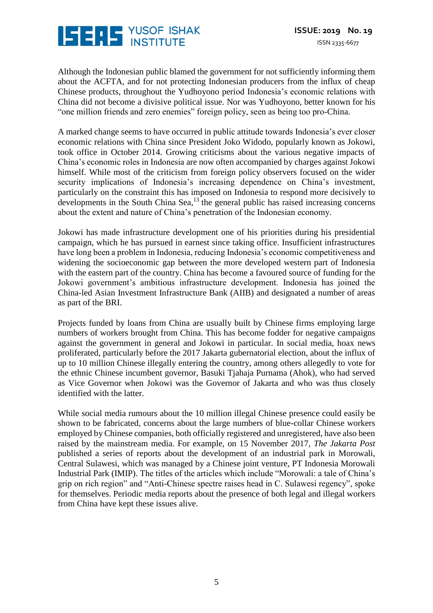

Although the Indonesian public blamed the government for not sufficiently informing them about the ACFTA, and for not protecting Indonesian producers from the influx of cheap Chinese products, throughout the Yudhoyono period Indonesia's economic relations with China did not become a divisive political issue. Nor was Yudhoyono, better known for his "one million friends and zero enemies" foreign policy, seen as being too pro-China.

A marked change seems to have occurred in public attitude towards Indonesia's ever closer economic relations with China since President Joko Widodo, popularly known as Jokowi, took office in October 2014. Growing criticisms about the various negative impacts of China's economic roles in Indonesia are now often accompanied by charges against Jokowi himself. While most of the criticism from foreign policy observers focused on the wider security implications of Indonesia's increasing dependence on China's investment, particularly on the constraint this has imposed on Indonesia to respond more decisively to developments in the South China Sea,<sup>13</sup> the general public has raised increasing concerns about the extent and nature of China's penetration of the Indonesian economy.

Jokowi has made infrastructure development one of his priorities during his presidential campaign, which he has pursued in earnest since taking office. Insufficient infrastructures have long been a problem in Indonesia, reducing Indonesia's economic competitiveness and widening the socioeconomic gap between the more developed western part of Indonesia with the eastern part of the country. China has become a favoured source of funding for the Jokowi government's ambitious infrastructure development. Indonesia has joined the China-led Asian Investment Infrastructure Bank (AIIB) and designated a number of areas as part of the BRI.

Projects funded by loans from China are usually built by Chinese firms employing large numbers of workers brought from China. This has become fodder for negative campaigns against the government in general and Jokowi in particular. In social media, hoax news proliferated, particularly before the 2017 Jakarta gubernatorial election, about the influx of up to 10 million Chinese illegally entering the country, among others allegedly to vote for the ethnic Chinese incumbent governor, Basuki Tjahaja Purnama (Ahok), who had served as Vice Governor when Jokowi was the Governor of Jakarta and who was thus closely identified with the latter.

While social media rumours about the 10 million illegal Chinese presence could easily be shown to be fabricated, concerns about the large numbers of blue-collar Chinese workers employed by Chinese companies, both officially registered and unregistered, have also been raised by the mainstream media. For example, on 15 November 2017, *The Jakarta Post* published a series of reports about the development of an industrial park in Morowali, Central Sulawesi, which was managed by a Chinese joint venture, PT Indonesia Morowali Industrial Park (IMIP). The titles of the articles which include "Morowali: a tale of China's grip on rich region" and "Anti-Chinese spectre raises head in C. Sulawesi regency", spoke for themselves. Periodic media reports about the presence of both legal and illegal workers from China have kept these issues alive.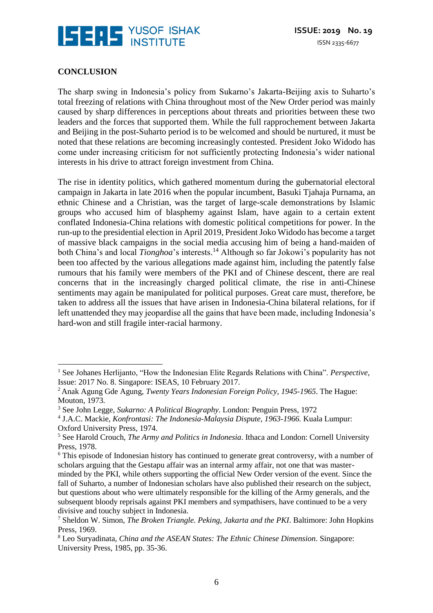

#### **CONCLUSION**

 $\overline{a}$ 

The sharp swing in Indonesia's policy from Sukarno's Jakarta-Beijing axis to Suharto's total freezing of relations with China throughout most of the New Order period was mainly caused by sharp differences in perceptions about threats and priorities between these two leaders and the forces that supported them. While the full rapprochement between Jakarta and Beijing in the post-Suharto period is to be welcomed and should be nurtured, it must be noted that these relations are becoming increasingly contested. President Joko Widodo has come under increasing criticism for not sufficiently protecting Indonesia's wider national interests in his drive to attract foreign investment from China.

The rise in identity politics, which gathered momentum during the gubernatorial electoral campaign in Jakarta in late 2016 when the popular incumbent, Basuki Tjahaja Purnama, an ethnic Chinese and a Christian, was the target of large-scale demonstrations by Islamic groups who accused him of blasphemy against Islam, have again to a certain extent conflated Indonesia-China relations with domestic political competitions for power. In the run-up to the presidential election in April 2019, President Joko Widodo has become a target of massive black campaigns in the social media accusing him of being a hand-maiden of both China's and local *Tionghoa*'s interests. <sup>14</sup> Although so far Jokowi's popularity has not been too affected by the various allegations made against him, including the patently false rumours that his family were members of the PKI and of Chinese descent, there are real concerns that in the increasingly charged political climate, the rise in anti-Chinese sentiments may again be manipulated for political purposes. Great care must, therefore, be taken to address all the issues that have arisen in Indonesia-China bilateral relations, for if left unattended they may jeopardise all the gains that have been made, including Indonesia's hard-won and still fragile inter-racial harmony.

<sup>&</sup>lt;sup>1</sup> See Johanes Herlijanto, "How the Indonesian Elite Regards Relations with China". *Perspective*, Issue: 2017 No. 8. Singapore: ISEAS, 10 February 2017.

<sup>2</sup>Anak Agung Gde Agung, *Twenty Years Indonesian Foreign Policy, 1945-1965*. The Hague: Mouton, 1973.

<sup>3</sup> See John Legge, *Sukarno: A Political Biography*. London: Penguin Press, 1972

<sup>4</sup> J.A.C. Mackie, *Konfrontasi: The Indonesia-Malaysia Dispute, 1963-1966.* Kuala Lumpur: Oxford University Press, 1974.

<sup>5</sup> See Harold Crouch, *The Army and Politics in Indonesia*. Ithaca and London: Cornell University Press, 1978.

<sup>&</sup>lt;sup>6</sup> This episode of Indonesian history has continued to generate great controversy, with a number of scholars arguing that the Gestapu affair was an internal army affair, not one that was masterminded by the PKI, while others supporting the official New Order version of the event. Since the fall of Suharto, a number of Indonesian scholars have also published their research on the subject, but questions about who were ultimately responsible for the killing of the Army generals, and the subsequent bloody reprisals against PKI members and sympathisers, have continued to be a very divisive and touchy subject in Indonesia.

<sup>7</sup> Sheldon W. Simon, *The Broken Triangle. Peking, Jakarta and the PKI*. Baltimore: John Hopkins Press, 1969.

<sup>8</sup> Leo Suryadinata, *China and the ASEAN States: The Ethnic Chinese Dimension*. Singapore: University Press, 1985, pp. 35-36.